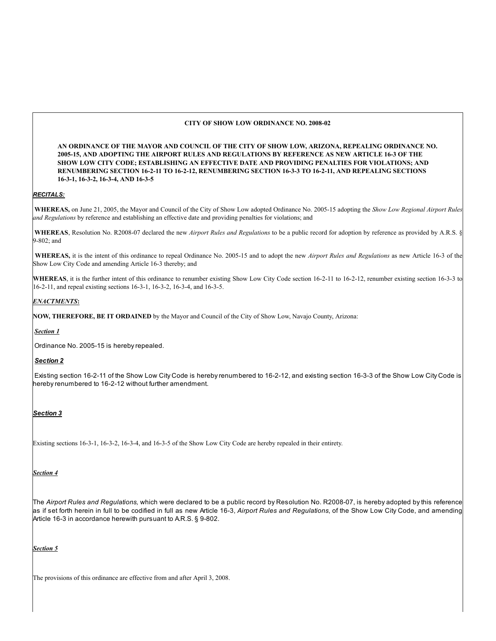## **CITY OF SHOW LOW ORDINANCE NO. 2008-02**

**AN ORDINANCE OF THE MAYOR AND COUNCIL OF THE CITY OF SHOW LOW, ARIZONA, REPEALING ORDINANCE NO. 2005-15, AND ADOPTING THE AIRPORT RULES AND REGULATIONS BY REFERENCE AS NEW ARTICLE 16-3 OF THE SHOW LOW CITY CODE; ESTABLISHING AN EFFECTIVE DATE AND PROVIDING PENALTIES FOR VIOLATIONS; AND RENUMBERING SECTION 16-2-11 TO 16-2-12, RENUMBERING SECTION 16-3-3 TO 16-2-11, AND REPEALING SECTIONS 16-3-1, 16-3-2, 16-3-4, AND 16-3-5**

## *RECITALS:*

 **WHEREAS,** on June 21, 2005, the Mayor and Council of the City of Show Low adopted Ordinance No. 2005-15 adopting the *Show Low Regional Airport Rules and Regulations* by reference and establishing an effective date and providing penalties for violations; and

 **WHEREAS**, Resolution No. R2008-07 declared the new *Airport Rules and Regulations* to be a public record for adoption by reference as provided by A.R.S. § 9-802; and

**WHEREAS,** it is the intent of this ordinance to repeal Ordinance No. 2005-15 and to adopt the new *Airport Rules and Regulations* as new Article 16-3 of the Show Low City Code and amending Article 16-3 thereby; and

WHEREAS, it is the further intent of this ordinance to renumber existing Show Low City Code section 16-2-11 to 16-2-12, renumber existing section 16-3-3 to 16-2-11, and repeal existing sections 16-3-1, 16-3-2, 16-3-4, and 16-3-5.

## *ENACTMENTS***:**

**NOW, THEREFORE, BE IT ORDAINED** by the Mayor and Council of the City of Show Low, Navajo County, Arizona:

### *Section 1*

Ordinance No. 2005-15 is hereby repealed.

### *Section 2*

 Existing section 16-2-11 of the Show Low City Code is hereby renumbered to 16-2-12, and existing section 16-3-3 of the Show Low City Code is hereby renumbered to 16-2-12 without further amendment.

### *Section 3*

Existing sections 16-3-1, 16-3-2, 16-3-4, and 16-3-5 of the Show Low City Code are hereby repealed in their entirety.

### *Section 4*

The *Airport Rules and Regulations,* which were declared to be a public record by Resolution No. R2008-07, is hereby adopted by this reference as if set forth herein in full to be codified in full as new Article 16-3, *Airport Rules and Regulations*, of the Show Low City Code, and amending Article 16-3 in accordance herewith pursuant to A.R.S. § 9-802.

*Section 5*

The provisions of this ordinance are effective from and after April 3, 2008.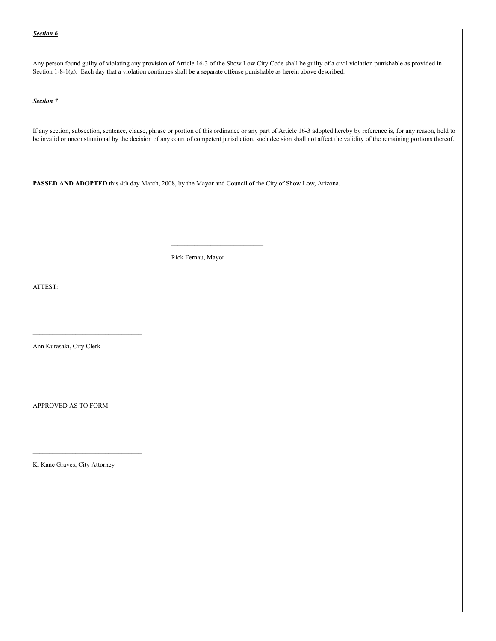### *Section 6*

Any person found guilty of violating any provision of Article 16-3 of the Show Low City Code shall be guilty of a civil violation punishable as provided in Section 1-8-1(a). Each day that a violation continues shall be a separate offense punishable as herein above described.

*Section 7*

If any section, subsection, sentence, clause, phrase or portion of this ordinance or any part of Article 16-3 adopted hereby by reference is, for any reason, held to be invalid or unconstitutional by the decision of any court of competent jurisdiction, such decision shall not affect the validity of the remaining portions thereof.

**PASSED AND ADOPTED** this 4th day March, 2008, by the Mayor and Council of the City of Show Low, Arizona.

Rick Fernau, Mayor

ATTEST:

Ann Kurasaki, City Clerk

APPROVED AS TO FORM:

K. Kane Graves, City Attorney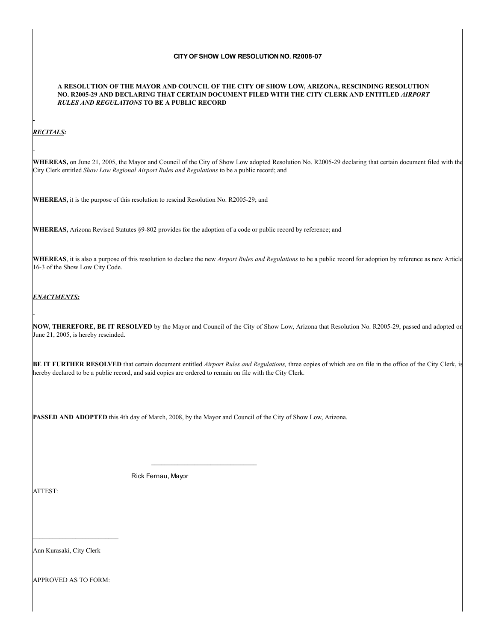# **CITY OF SHOW LOW RESOLUTION NO. R2008-07**

### **A RESOLUTION OF THE MAYOR AND COUNCIL OF THE CITY OF SHOW LOW, ARIZONA, RESCINDING RESOLUTION NO. R2005-29 AND DECLARING THAT CERTAIN DOCUMENT FILED WITH THE CITY CLERK AND ENTITLED** *AIRPORT RULES AND REGULATIONS* **TO BE A PUBLIC RECORD**

## *RECITALS:*

**WHEREAS,** on June 21, 2005, the Mayor and Council of the City of Show Low adopted Resolution No. R2005-29 declaring that certain document filed with the City Clerk entitled *Show Low Regional Airport Rules and Regulations* to be a public record; and

**WHEREAS,** it is the purpose of this resolution to rescind Resolution No. R2005-29; and

**WHEREAS,** Arizona Revised Statutes §9-802 provides for the adoption of a code or public record by reference; and

**WHEREAS**, it is also a purpose of this resolution to declare the new *Airport Rules and Regulations* to be a public record for adoption by reference as new Article 16-3 of the Show Low City Code.

## *ENACTMENTS:*

**NOW, THEREFORE, BE IT RESOLVED** by the Mayor and Council of the City of Show Low, Arizona that Resolution No. R2005-29, passed and adopted on June 21, 2005, is hereby rescinded.

**BE IT FURTHER RESOLVED** that certain document entitled *Airport Rules and Regulations,* three copies of which are on file in the office of the City Clerk, is hereby declared to be a public record, and said copies are ordered to remain on file with the City Clerk.

**PASSED AND ADOPTED** this 4th day of March, 2008, by the Mayor and Council of the City of Show Low, Arizona.

Rick Fernau, Mayor

ATTEST:

Ann Kurasaki, City Clerk

APPROVED AS TO FORM: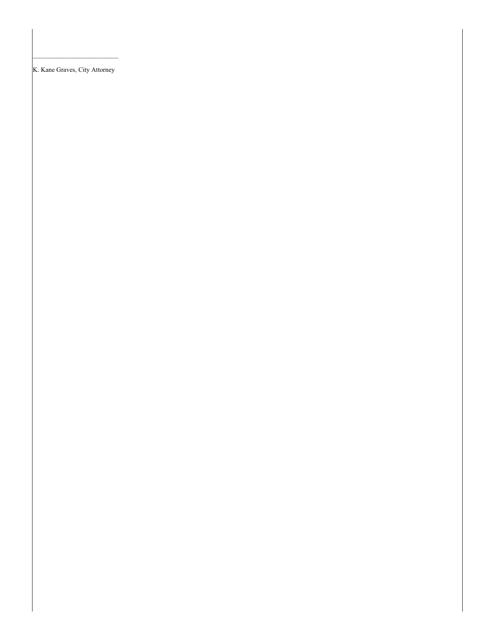K. Kane Graves, City Attorney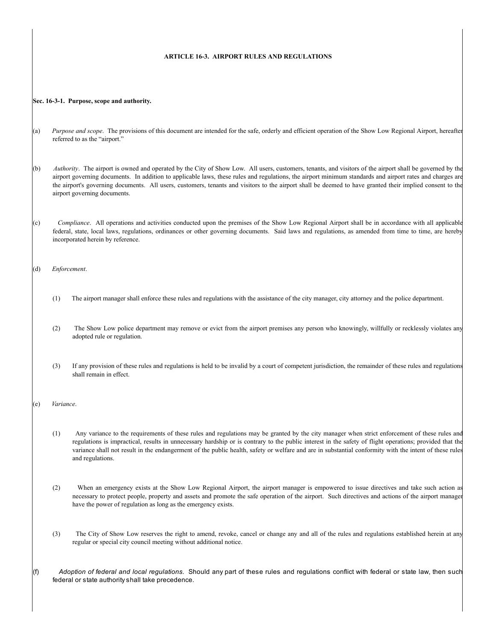## **ARTICLE 16-3. AIRPORT RULES AND REGULATIONS**

#### **Sec. 16-3-1. Purpose, scope and authority.**

- (a) *Purpose and scope*. The provisions of this document are intended for the safe, orderly and efficient operation of the Show Low Regional Airport, hereafter referred to as the "airport."
- (b) *Authority*. The airport is owned and operated by the City of Show Low. All users, customers, tenants, and visitors of the airport shall be governed by the airport governing documents. In addition to applicable laws, these rules and regulations, the airport minimum standards and airport rates and charges are the airport's governing documents. All users, customers, tenants and visitors to the airport shall be deemed to have granted their implied consent to the airport governing documents.
- (c) *Compliance*. All operations and activities conducted upon the premises of the Show Low Regional Airport shall be in accordance with all applicable federal, state, local laws, regulations, ordinances or other governing documents. Said laws and regulations, as amended from time to time, are hereby incorporated herein by reference.
- (d) *Enforcement*.
	- (1) The airport manager shall enforce these rules and regulations with the assistance of the city manager, city attorney and the police department.
	- (2) The Show Low police department may remove or evict from the airport premises any person who knowingly, willfully or recklessly violates any adopted rule or regulation.
	- (3) If any provision of these rules and regulations is held to be invalid by a court of competent jurisdiction, the remainder of these rules and regulations shall remain in effect.
- (e) *Variance*.
	- (1) Any variance to the requirements of these rules and regulations may be granted by the city manager when strict enforcement of these rules and regulations is impractical, results in unnecessary hardship or is contrary to the public interest in the safety of flight operations; provided that the variance shall not result in the endangerment of the public health, safety or welfare and are in substantial conformity with the intent of these rules and regulations.
	- (2) When an emergency exists at the Show Low Regional Airport, the airport manager is empowered to issue directives and take such action as necessary to protect people, property and assets and promote the safe operation of the airport. Such directives and actions of the airport manager have the power of regulation as long as the emergency exists.
	- (3) The City of Show Low reserves the right to amend, revoke, cancel or change any and all of the rules and regulations established herein at any regular or special city council meeting without additional notice.
- (f) *Adoption of federal and local regulations*. Should any part of these rules and regulations conflict with federal or state law, then such federal or state authority shall take precedence.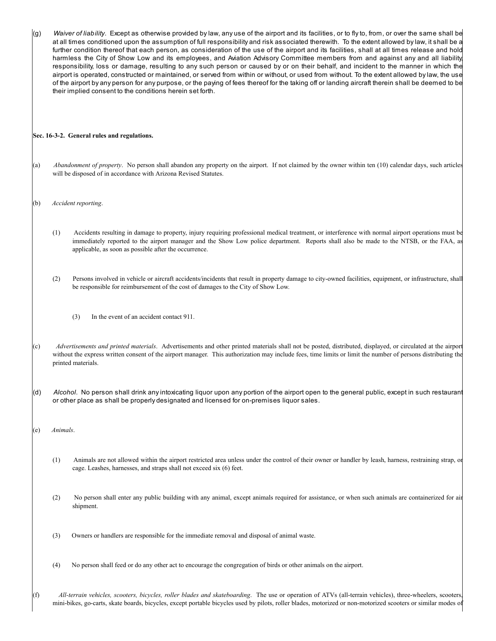| (g)                                         |                                                                                                                                                                                                                                                                                                                                                  | Waiver of liability. Except as otherwise provided by law, any use of the airport and its facilities, or to fly to, from, or over the same shall be<br>at all times conditioned upon the assumption of full responsibility and risk associated therewith. To the extent allowed by law, it shall be a<br>further condition thereof that each person, as consideration of the use of the airport and its facilities, shall at all times release and hold<br>harmless the City of Show Low and its employees, and Aviation Advisory Committee members from and against any and all liability<br>responsibility, loss or damage, resulting to any such person or caused by or on their behalf, and incident to the manner in which the<br>airport is operated, constructed or maintained, or served from within or without, or used from without. To the extent allowed by law, the use<br>of the airport by any person for any purpose, or the paying of fees thereof for the taking off or landing aircraft therein shall be deemed to be<br>their implied consent to the conditions herein set forth. |  |
|---------------------------------------------|--------------------------------------------------------------------------------------------------------------------------------------------------------------------------------------------------------------------------------------------------------------------------------------------------------------------------------------------------|------------------------------------------------------------------------------------------------------------------------------------------------------------------------------------------------------------------------------------------------------------------------------------------------------------------------------------------------------------------------------------------------------------------------------------------------------------------------------------------------------------------------------------------------------------------------------------------------------------------------------------------------------------------------------------------------------------------------------------------------------------------------------------------------------------------------------------------------------------------------------------------------------------------------------------------------------------------------------------------------------------------------------------------------------------------------------------------------------|--|
| Sec. 16-3-2. General rules and regulations. |                                                                                                                                                                                                                                                                                                                                                  |                                                                                                                                                                                                                                                                                                                                                                                                                                                                                                                                                                                                                                                                                                                                                                                                                                                                                                                                                                                                                                                                                                      |  |
| (a)                                         |                                                                                                                                                                                                                                                                                                                                                  | Abandonment of property. No person shall abandon any property on the airport. If not claimed by the owner within ten (10) calendar days, such articles<br>will be disposed of in accordance with Arizona Revised Statutes.                                                                                                                                                                                                                                                                                                                                                                                                                                                                                                                                                                                                                                                                                                                                                                                                                                                                           |  |
| (b)                                         | Accident reporting.                                                                                                                                                                                                                                                                                                                              |                                                                                                                                                                                                                                                                                                                                                                                                                                                                                                                                                                                                                                                                                                                                                                                                                                                                                                                                                                                                                                                                                                      |  |
|                                             | (1)                                                                                                                                                                                                                                                                                                                                              | Accidents resulting in damage to property, injury requiring professional medical treatment, or interference with normal airport operations must be<br>immediately reported to the airport manager and the Show Low police department. Reports shall also be made to the NTSB, or the FAA, as<br>applicable, as soon as possible after the occurrence.                                                                                                                                                                                                                                                                                                                                                                                                                                                                                                                                                                                                                                                                                                                                                |  |
|                                             | (2)                                                                                                                                                                                                                                                                                                                                              | Persons involved in vehicle or aircraft accidents/incidents that result in property damage to city-owned facilities, equipment, or infrastructure, shall<br>be responsible for reimbursement of the cost of damages to the City of Show Low.                                                                                                                                                                                                                                                                                                                                                                                                                                                                                                                                                                                                                                                                                                                                                                                                                                                         |  |
|                                             |                                                                                                                                                                                                                                                                                                                                                  | In the event of an accident contact 911.<br>(3)                                                                                                                                                                                                                                                                                                                                                                                                                                                                                                                                                                                                                                                                                                                                                                                                                                                                                                                                                                                                                                                      |  |
| (c)                                         | Advertisements and printed materials. Advertisements and other printed materials shall not be posted, distributed, displayed, or circulated at the airport<br>without the express written consent of the airport manager. This authorization may include fees, time limits or limit the number of persons distributing the<br>printed materials. |                                                                                                                                                                                                                                                                                                                                                                                                                                                                                                                                                                                                                                                                                                                                                                                                                                                                                                                                                                                                                                                                                                      |  |
|                                             |                                                                                                                                                                                                                                                                                                                                                  | Alcohol. No person shall drink any intoxicating liquor upon any portion of the airport open to the general public, except in such restauran<br>or other place as shall be properly designated and licensed for on-premises liquor sales.                                                                                                                                                                                                                                                                                                                                                                                                                                                                                                                                                                                                                                                                                                                                                                                                                                                             |  |
| (e)                                         | Animals.                                                                                                                                                                                                                                                                                                                                         |                                                                                                                                                                                                                                                                                                                                                                                                                                                                                                                                                                                                                                                                                                                                                                                                                                                                                                                                                                                                                                                                                                      |  |
|                                             | (1)                                                                                                                                                                                                                                                                                                                                              | Animals are not allowed within the airport restricted area unless under the control of their owner or handler by leash, harness, restraining strap, or<br>cage. Leashes, harnesses, and straps shall not exceed six (6) feet.                                                                                                                                                                                                                                                                                                                                                                                                                                                                                                                                                                                                                                                                                                                                                                                                                                                                        |  |
|                                             | (2)                                                                                                                                                                                                                                                                                                                                              | No person shall enter any public building with any animal, except animals required for assistance, or when such animals are containerized for air<br>shipment.                                                                                                                                                                                                                                                                                                                                                                                                                                                                                                                                                                                                                                                                                                                                                                                                                                                                                                                                       |  |
|                                             | (3)                                                                                                                                                                                                                                                                                                                                              | Owners or handlers are responsible for the immediate removal and disposal of animal waste.                                                                                                                                                                                                                                                                                                                                                                                                                                                                                                                                                                                                                                                                                                                                                                                                                                                                                                                                                                                                           |  |
|                                             | (4)                                                                                                                                                                                                                                                                                                                                              | No person shall feed or do any other act to encourage the congregation of birds or other animals on the airport.                                                                                                                                                                                                                                                                                                                                                                                                                                                                                                                                                                                                                                                                                                                                                                                                                                                                                                                                                                                     |  |

(f) *All-terrain vehicles, scooters, bicycles, roller blades and skateboarding*. The use or operation of ATVs (all-terrain vehicles), three-wheelers, scooters, mini-bikes, go-carts, skate boards, bicycles, except portable bicycles used by pilots, roller blades, motorized or non-motorized scooters or similar modes of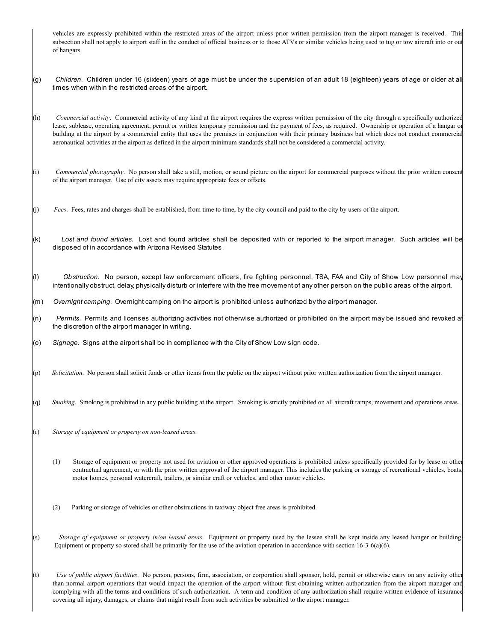vehicles are expressly prohibited within the restricted areas of the airport unless prior written permission from the airport manager is received. This subsection shall not apply to airport staff in the conduct of official business or to those ATVs or similar vehicles being used to tug or tow aircraft into or ou of hangars.

- (g) *Children*. Children under 16 (sixteen) years of age must be under the supervision of an adult 18 (eighteen) years of age or older at all times when within the restricted areas of the airport.
- (h) *Commercial activity*. Commercial activity of any kind at the airport requires the express written permission of the city through a specifically authorized lease, sublease, operating agreement, permit or written temporary permission and the payment of fees, as required. Ownership or operation of a hangar or building at the airport by a commercial entity that uses the premises in conjunction with their primary business but which does not conduct commercial aeronautical activities at the airport as defined in the airport minimum standards shall not be considered a commercial activity.
- (i) *Commercial photography*. No person shall take a still, motion, or sound picture on the airport for commercial purposes without the prior written consent of the airport manager. Use of city assets may require appropriate fees or offsets.
- (j) *Fees*. Fees, rates and charges shall be established, from time to time, by the city council and paid to the city by users of the airport.
- (k) *Lost and found articles*. Lost and found articles shall be deposited with or reported to the airport manager. Such articles will be disposed of in accordance with Arizona Revised Statutes.
- (l) *Obstruction*. No person, except law enforcement officers, fire fighting personnel, TSA, FAA and City of Show Low personnel may intentionally obstruct, delay, physically disturb or interfere with the free movement of any other person on the public areas of the airport.
- (m) *Overnight camping*. Overnight camping on the airport is prohibited unless authorized by the airport manager.
- (n) *Permits*. Permits and licenses authorizing activities not otherwise authorized or prohibited on the airport may be issued and revoked at the discretion of the airport manager in writing.
- (o) *Signage*. Signs at the airport shall be in compliance with the City of Show Low sign code.
- (p) *Solicitation*. No person shall solicit funds or other items from the public on the airport without prior written authorization from the airport manager.
- (q) *Smoking*. Smoking is prohibited in any public building at the airport. Smoking is strictly prohibited on all aircraft ramps, movement and operations areas.
- (r) *Storage of equipment or property on non-leased areas*.
	- (1) Storage of equipment or property not used for aviation or other approved operations is prohibited unless specifically provided for by lease or other contractual agreement, or with the prior written approval of the airport manager. This includes the parking or storage of recreational vehicles, boats, motor homes, personal watercraft, trailers, or similar craft or vehicles, and other motor vehicles.
	- (2) Parking or storage of vehicles or other obstructions in taxiway object free areas is prohibited.
- (s) *Storage of equipment or property in/on leased areas*. Equipment or property used by the lessee shall be kept inside any leased hanger or building. Equipment or property so stored shall be primarily for the use of the aviation operation in accordance with section  $16-3-6(a)(6)$ .
- (t) *Use of public airport facilities*. No person, persons, firm, association, or corporation shall sponsor, hold, permit or otherwise carry on any activity other than normal airport operations that would impact the operation of the airport without first obtaining written authorization from the airport manager and complying with all the terms and conditions of such authorization. A term and condition of any authorization shall require written evidence of insurance covering all injury, damages, or claims that might result from such activities be submitted to the airport manager.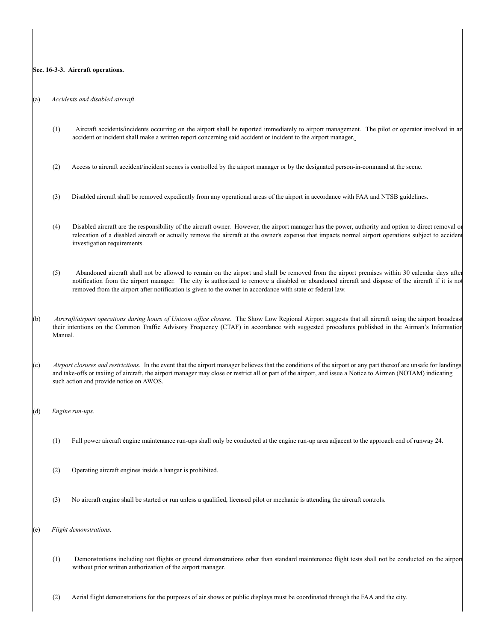#### **Sec. 16-3-3. Aircraft operations.**

(a) *Accidents and disabled aircraft*.

- (1) Aircraft accidents/incidents occurring on the airport shall be reported immediately to airport management. The pilot or operator involved in an accident or incident shall make a written report concerning said accident or incident to the airport manager.
- (2) Access to aircraft accident/incident scenes is controlled by the airport manager or by the designated person-in-command at the scene.
- (3) Disabled aircraft shall be removed expediently from any operational areas of the airport in accordance with FAA and NTSB guidelines.
- (4) Disabled aircraft are the responsibility of the aircraft owner. However, the airport manager has the power, authority and option to direct removal or relocation of a disabled aircraft or actually remove the aircraft at the owner's expense that impacts normal airport operations subject to accident investigation requirements.
- (5) Abandoned aircraft shall not be allowed to remain on the airport and shall be removed from the airport premises within 30 calendar days after notification from the airport manager. The city is authorized to remove a disabled or abandoned aircraft and dispose of the aircraft if it is no removed from the airport after notification is given to the owner in accordance with state or federal law.
- (b) *Aircraft/airport operations during hours of Unicom office closure*. The Show Low Regional Airport suggests that all aircraft using the airport broadcast their intentions on the Common Traffic Advisory Frequency (CTAF) in accordance with suggested procedures published in the Airman's Information Manual.
- (c) *Airport closures and restrictions*. In the event that the airport manager believes that the conditions of the airport or any part thereof are unsafe for landings and take-offs or taxiing of aircraft, the airport manager may close or restrict all or part of the airport, and issue a Notice to Airmen (NOTAM) indicating such action and provide notice on AWOS.
- (d) *Engine run-ups*.
	- (1) Full power aircraft engine maintenance run-ups shall only be conducted at the engine run-up area adjacent to the approach end of runway 24.
	- (2) Operating aircraft engines inside a hangar is prohibited.
	- (3) No aircraft engine shall be started or run unless a qualified, licensed pilot or mechanic is attending the aircraft controls.
- (e) *Flight demonstrations.*
	- (1) Demonstrations including test flights or ground demonstrations other than standard maintenance flight tests shall not be conducted on the airport without prior written authorization of the airport manager.
	- (2) Aerial flight demonstrations for the purposes of air shows or public displays must be coordinated through the FAA and the city.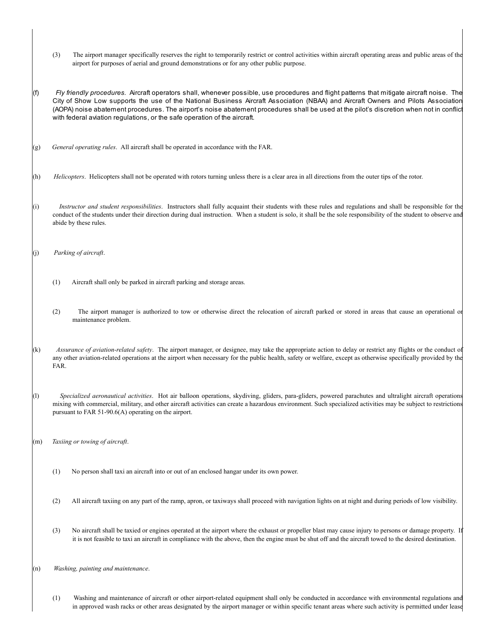- (3) The airport manager specifically reserves the right to temporarily restrict or control activities within aircraft operating areas and public areas of the airport for purposes of aerial and ground demonstrations or for any other public purpose.
- (f) *Fly friendly procedures*. Aircraft operators shall, whenever possible, use procedures and flight patterns that mitigate aircraft noise. The City of Show Low supports the use of the National Business Aircraft Association (NBAA) and Aircraft Owners and Pilots Association (AOPA) noise abatement procedures. The airport's noise abatement procedures shall be used at the pilot's discretion when not in conflict with federal aviation regulations, or the safe operation of the aircraft.
- (g) *General operating rules*. All aircraft shall be operated in accordance with the FAR.
- (h) *Helicopters*. Helicopters shall not be operated with rotors turning unless there is a clear area in all directions from the outer tips of the rotor.
- (i) *Instructor and student responsibilities*. Instructors shall fully acquaint their students with these rules and regulations and shall be responsible for the conduct of the students under their direction during dual instruction. When a student is solo, it shall be the sole responsibility of the student to observe and abide by these rules.
- (j) *Parking of aircraft*.
	- (1) Aircraft shall only be parked in aircraft parking and storage areas.
	- (2) The airport manager is authorized to tow or otherwise direct the relocation of aircraft parked or stored in areas that cause an operational or maintenance problem.
- (k) *Assurance of aviation-related safety*. The airport manager, or designee, may take the appropriate action to delay or restrict any flights or the conduct of any other aviation-related operations at the airport when necessary for the public health, safety or welfare, except as otherwise specifically provided by the FAR.
- (l) *Specialized aeronautical activities*. Hot air balloon operations, skydiving, gliders, para-gliders, powered parachutes and ultralight aircraft operations mixing with commercial, military, and other aircraft activities can create a hazardous environment. Such specialized activities may be subject to restrictions pursuant to FAR 51-90.6(A) operating on the airport.
- (m) *Taxiing or towing of aircraft*.
	- (1) No person shall taxi an aircraft into or out of an enclosed hangar under its own power.
	- (2) All aircraft taxiing on any part of the ramp, apron, or taxiways shall proceed with navigation lights on at night and during periods of low visibility.
	- (3) No aircraft shall be taxied or engines operated at the airport where the exhaust or propeller blast may cause injury to persons or damage property. If it is not feasible to taxi an aircraft in compliance with the above, then the engine must be shut off and the aircraft towed to the desired destination.
- (n) *Washing, painting and maintenance*.
	- (1) Washing and maintenance of aircraft or other airport-related equipment shall only be conducted in accordance with environmental regulations and in approved wash racks or other areas designated by the airport manager or within specific tenant areas where such activity is permitted under lease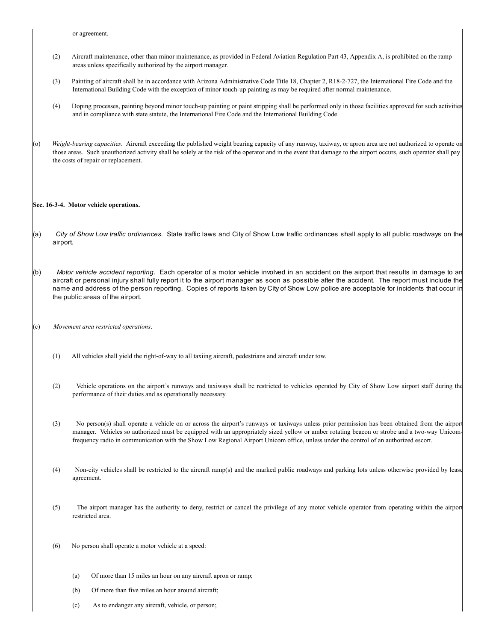or agreement.

- (2) Aircraft maintenance, other than minor maintenance, as provided in Federal Aviation Regulation Part 43, Appendix A, is prohibited on the ramp areas unless specifically authorized by the airport manager.
- (3) Painting of aircraft shall be in accordance with Arizona Administrative Code Title 18, Chapter 2, R18-2-727, the International Fire Code and the International Building Code with the exception of minor touch-up painting as may be required after normal maintenance.
- (4) Doping processes, painting beyond minor touch-up painting or paint stripping shall be performed only in those facilities approved for such activities and in compliance with state statute, the International Fire Code and the International Building Code.
- (o) *Weight-bearing capacities*. Aircraft exceeding the published weight bearing capacity of any runway, taxiway, or apron area are not authorized to operate on those areas. Such unauthorized activity shall be solely at the risk of the operator and in the event that damage to the airport occurs, such operator shall pay the costs of repair or replacement.

#### **Sec. 16-3-4. Motor vehicle operations.**

- (a) *City of Show Low traffic ordinances*. State traffic laws and City of Show Low traffic ordinances shall apply to all public roadways on the airport.
- (b) *Motor vehicle accident reporting*. Each operator of a motor vehicle involved in an accident on the airport that results in damage to an aircraft or personal injury shall fully report it to the airport manager as soon as possible after the accident. The report must include the name and address of the person reporting. Copies of reports taken by City of Show Low police are acceptable for incidents that occur in the public areas of the airport.
- (c) *Movement area restricted operations*.
	- (1) All vehicles shall yield the right-of-way to all taxiing aircraft, pedestrians and aircraft under tow.
	- (2) Vehicle operations on the airport's runways and taxiways shall be restricted to vehicles operated by City of Show Low airport staff during the performance of their duties and as operationally necessary.
	- (3) No person(s) shall operate a vehicle on or across the airport's runways or taxiways unless prior permission has been obtained from the airport manager. Vehicles so authorized must be equipped with an appropriately sized yellow or amber rotating beacon or strobe and a two-way Unicomfrequency radio in communication with the Show Low Regional Airport Unicom office, unless under the control of an authorized escort.
	- (4) Non-city vehicles shall be restricted to the aircraft ramp(s) and the marked public roadways and parking lots unless otherwise provided by lease agreement.
	- (5) The airport manager has the authority to deny, restrict or cancel the privilege of any motor vehicle operator from operating within the airport restricted area.
	- (6) No person shall operate a motor vehicle at a speed:
		- (a) Of more than 15 miles an hour on any aircraft apron or ramp;
		- (b) Of more than five miles an hour around aircraft;
		- (c) As to endanger any aircraft, vehicle, or person;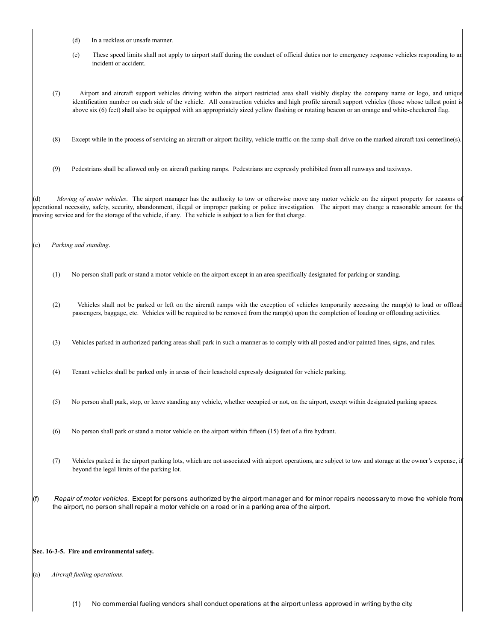- (d) In a reckless or unsafe manner.
- (e) These speed limits shall not apply to airport staff during the conduct of official duties nor to emergency response vehicles responding to an incident or accident.
- (7) Airport and aircraft support vehicles driving within the airport restricted area shall visibly display the company name or logo, and unique identification number on each side of the vehicle. All construction vehicles and high profile aircraft support vehicles (those whose tallest point is above six (6) feet) shall also be equipped with an appropriately sized yellow flashing or rotating beacon or an orange and white-checkered flag.
- (8) Except while in the process of servicing an aircraft or airport facility, vehicle traffic on the ramp shall drive on the marked aircraft taxi centerline(s).
- (9) Pedestrians shall be allowed only on aircraft parking ramps. Pedestrians are expressly prohibited from all runways and taxiways.

(d) *Moving of motor vehicles*. The airport manager has the authority to tow or otherwise move any motor vehicle on the airport property for reasons of operational necessity, safety, security, abandonment, illegal or improper parking or police investigation. The airport may charge a reasonable amount for the moving service and for the storage of the vehicle, if any. The vehicle is subject to a lien for that charge.

(e) *Parking and standing*.

- (1) No person shall park or stand a motor vehicle on the airport except in an area specifically designated for parking or standing.
- (2) Vehicles shall not be parked or left on the aircraft ramps with the exception of vehicles temporarily accessing the ramp(s) to load or offload passengers, baggage, etc. Vehicles will be required to be removed from the ramp(s) upon the completion of loading or offloading activities.
- (3) Vehicles parked in authorized parking areas shall park in such a manner as to comply with all posted and/or painted lines, signs, and rules.
- (4) Tenant vehicles shall be parked only in areas of their leasehold expressly designated for vehicle parking.
- (5) No person shall park, stop, or leave standing any vehicle, whether occupied or not, on the airport, except within designated parking spaces.
- (6) No person shall park or stand a motor vehicle on the airport within fifteen (15) feet of a fire hydrant.
- (7) Vehicles parked in the airport parking lots, which are not associated with airport operations, are subject to tow and storage at the owner's expense, if beyond the legal limits of the parking lot.
- (f) *Repair of motor vehicles*. Except for persons authorized by the airport manager and for minor repairs necessary to move the vehicle from the airport, no person shall repair a motor vehicle on a road or in a parking area of the airport.

#### **Sec. 16-3-5. Fire and environmental safety.**

(a) *Aircraft fueling operations*.

(1) No commercial fueling vendors shall conduct operations at the airport unless approved in writing by the city.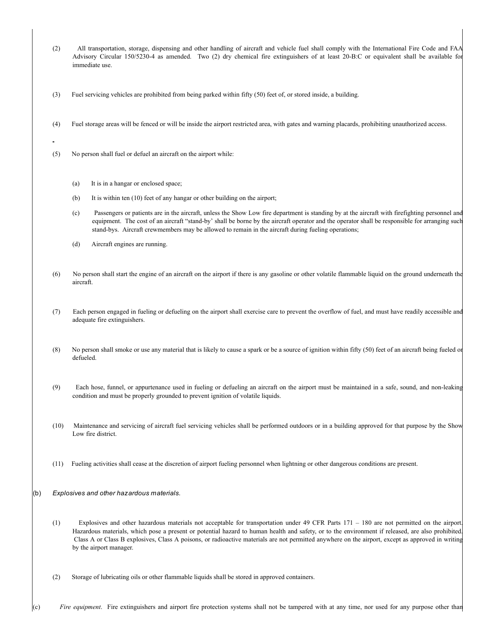- (2) All transportation, storage, dispensing and other handling of aircraft and vehicle fuel shall comply with the International Fire Code and FAA Advisory Circular 150/5230-4 as amended. Two (2) dry chemical fire extinguishers of at least 20-B:C or equivalent shall be available for immediate use.
- (3) Fuel servicing vehicles are prohibited from being parked within fifty (50) feet of, or stored inside, a building.
- (4) Fuel storage areas will be fenced or will be inside the airport restricted area, with gates and warning placards, prohibiting unauthorized access.
- (5) No person shall fuel or defuel an aircraft on the airport while:
	- (a) It is in a hangar or enclosed space;
	- (b) It is within ten (10) feet of any hangar or other building on the airport;
	- (c) Passengers or patients are in the aircraft, unless the Show Low fire department is standing by at the aircraft with firefighting personnel and equipment. The cost of an aircraft "stand-by' shall be borne by the aircraft operator and the operator shall be responsible for arranging such stand-bys. Aircraft crewmembers may be allowed to remain in the aircraft during fueling operations;
	- (d) Aircraft engines are running.
- (6) No person shall start the engine of an aircraft on the airport if there is any gasoline or other volatile flammable liquid on the ground underneath the aircraft.
- (7) Each person engaged in fueling or defueling on the airport shall exercise care to prevent the overflow of fuel, and must have readily accessible and adequate fire extinguishers.
- (8) No person shall smoke or use any material that is likely to cause a spark or be a source of ignition within fifty (50) feet of an aircraft being fueled or defueled.
- (9) Each hose, funnel, or appurtenance used in fueling or defueling an aircraft on the airport must be maintained in a safe, sound, and non-leaking condition and must be properly grounded to prevent ignition of volatile liquids.
- (10) Maintenance and servicing of aircraft fuel servicing vehicles shall be performed outdoors or in a building approved for that purpose by the Show Low fire district.
- (11) Fueling activities shall cease at the discretion of airport fueling personnel when lightning or other dangerous conditions are present.
- (b) *Explosives and other hazardous materials*.
	- (1) Explosives and other hazardous materials not acceptable for transportation under 49 CFR Parts 171 180 are not permitted on the airport. Hazardous materials, which pose a present or potential hazard to human health and safety, or to the environment if released, are also prohibited. Class A or Class B explosives, Class A poisons, or radioactive materials are not permitted anywhere on the airport, except as approved in writing by the airport manager.
	- (2) Storage of lubricating oils or other flammable liquids shall be stored in approved containers.

(c) *Fire equipment*. Fire extinguishers and airport fire protection systems shall not be tampered with at any time, nor used for any purpose other than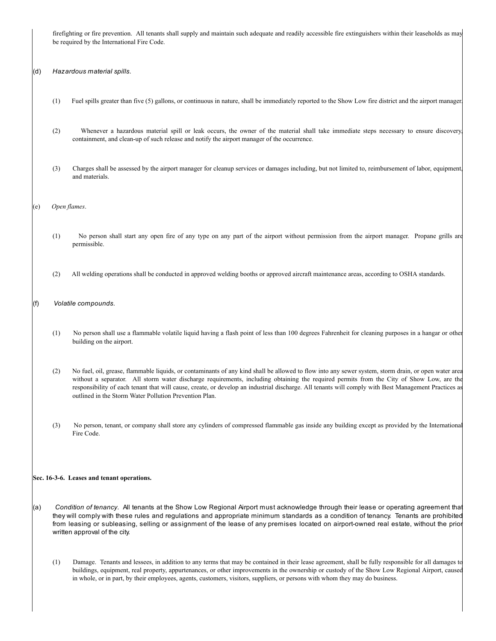firefighting or fire prevention. All tenants shall supply and maintain such adequate and readily accessible fire extinguishers within their leaseholds as may be required by the International Fire Code.

(d) *Hazardous material spills*.

- (1) Fuel spills greater than five (5) gallons, or continuous in nature, shall be immediately reported to the Show Low fire district and the airport manager.
- (2) Whenever a hazardous material spill or leak occurs, the owner of the material shall take immediate steps necessary to ensure discovery, containment, and clean-up of such release and notify the airport manager of the occurrence.
- (3) Charges shall be assessed by the airport manager for cleanup services or damages including, but not limited to, reimbursement of labor, equipment, and materials.

(e) *Open flames*.

- (1) No person shall start any open fire of any type on any part of the airport without permission from the airport manager. Propane grills are permissible.
- (2) All welding operations shall be conducted in approved welding booths or approved aircraft maintenance areas, according to OSHA standards.
- (f) *Volatile compounds*.
	- (1) No person shall use a flammable volatile liquid having a flash point of less than 100 degrees Fahrenheit for cleaning purposes in a hangar or other building on the airport.
	- (2) No fuel, oil, grease, flammable liquids, or contaminants of any kind shall be allowed to flow into any sewer system, storm drain, or open water area without a separator. All storm water discharge requirements, including obtaining the required permits from the City of Show Low, are the responsibility of each tenant that will cause, create, or develop an industrial discharge. All tenants will comply with Best Management Practices as outlined in the Storm Water Pollution Prevention Plan.
	- (3) No person, tenant, or company shall store any cylinders of compressed flammable gas inside any building except as provided by the International Fire Code.

#### **Sec. 16-3-6. Leases and tenant operations.**

- (a) *Condition of tenancy*. All tenants at the Show Low Regional Airport must acknowledge through their lease or operating agreement that they will comply with these rules and regulations and appropriate minimum standards as a condition of tenancy. Tenants are prohibited from leasing or subleasing, selling or assignment of the lease of any premises located on airport-owned real estate, without the prior written approval of the city.
	- (1) Damage. Tenants and lessees, in addition to any terms that may be contained in their lease agreement, shall be fully responsible for all damages to buildings, equipment, real property, appurtenances, or other improvements in the ownership or custody of the Show Low Regional Airport, caused in whole, or in part, by their employees, agents, customers, visitors, suppliers, or persons with whom they may do business.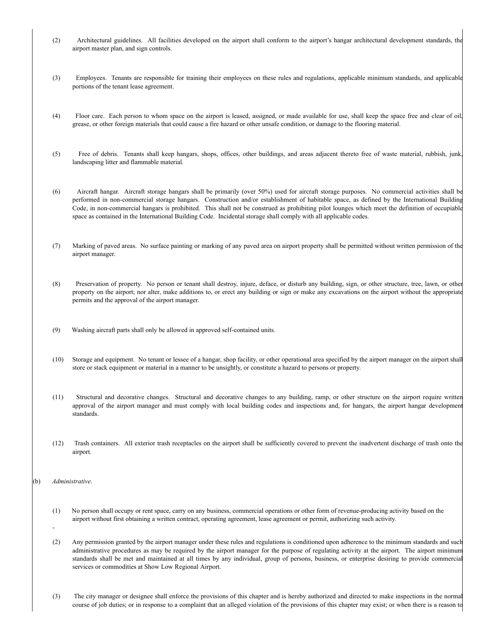- (2) Architectural guidelines. All facilities developed on the airport shall conform to the airport's hangar architectural development standards, the airport master plan, and sign controls.
- (3) Employees. Tenants are responsible for training their employees on these rules and regulations, applicable minimum standards, and applicable portions of the tenant lease agreement.
- (4) Floor care. Each person to whom space on the airport is leased, assigned, or made available for use, shall keep the space free and clear of oil, grease, or other foreign materials that could cause a fire hazard or other unsafe condition, or damage to the flooring material.
- (5) Free of debris. Tenants shall keep hangars, shops, offices, other buildings, and areas adjacent thereto free of waste material, rubbish, junk, landscaping litter and flammable material.
- (6) Aircraft hangar. Aircraft storage hangars shall be primarily (over 50%) used for aircraft storage purposes. No commercial activities shall be performed in non-commercial storage hangars. Construction and/or establishment of habitable space, as defined by the International Building Code, in non-commercial hangars is prohibited. This shall not be construed as prohibiting pilot lounges which meet the definition of occupiable space as contained in the International Building Code. Incidental storage shall comply with all applicable codes.
- (7) Marking of paved areas. No surface painting or marking of any paved area on airport property shall be permitted without written permission of the airport manager.
- (8) Preservation of property. No person or tenant shall destroy, injure, deface, or disturb any building, sign, or other structure, tree, lawn, or other property on the airport; nor alter, make additions to, or erect any building or sign or make any excavations on the airport without the appropriate permits and the approval of the airport manager.
- (9) Washing aircraft parts shall only be allowed in approved self-contained units.
- (10) Storage and equipment. No tenant or lessee of a hangar, shop facility, or other operational area specified by the airport manager on the airport shall store or stack equipment or material in a manner to be unsightly, or constitute a hazard to persons or property.
- (11) Structural and decorative changes. Structural and decorative changes to any building, ramp, or other structure on the airport require written approval of the airport manager and must comply with local building codes and inspections and, for hangars, the airport hangar development standards.
- (12) Trash containers. All exterior trash receptacles on the airport shall be sufficiently covered to prevent the inadvertent discharge of trash onto the airport.
- (b) *Administrative*.
	- (1) No person shall occupy or rent space, carry on any business, commercial operations or other form of revenue-producing activity based on the airport without first obtaining a written contract, operating agreement, lease agreement or permit, authorizing such activity.
	- (2) Any permission granted by the airport manager under these rules and regulations is conditioned upon adherence to the minimum standards and such administrative procedures as may be required by the airport manager for the purpose of regulating activity at the airport. The airport minimum standards shall be met and maintained at all times by any individual, group of persons, business, or enterprise desiring to provide commercial services or commodities at Show Low Regional Airport.
	- (3) The city manager or designee shall enforce the provisions of this chapter and is hereby authorized and directed to make inspections in the normal course of job duties; or in response to a complaint that an alleged violation of the provisions of this chapter may exist; or when there is a reason to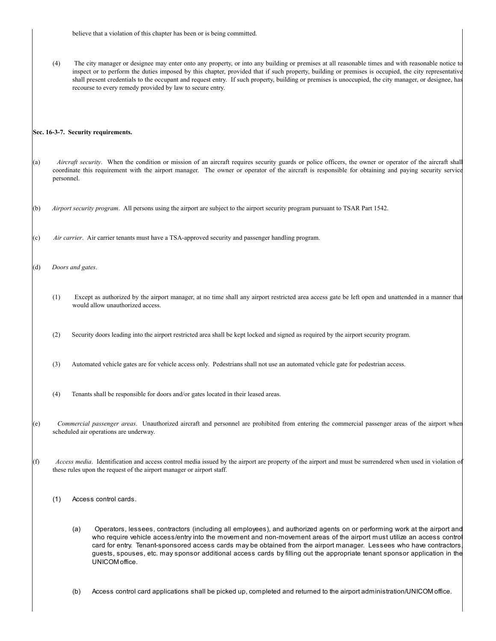(4) The city manager or designee may enter onto any property, or into any building or premises at all reasonable times and with reasonable notice to inspect or to perform the duties imposed by this chapter, provided that if such property, building or premises is occupied, the city representative shall present credentials to the occupant and request entry. If such property, building or premises is unoccupied, the city manager, or designee, has recourse to every remedy provided by law to secure entry.

#### **Sec. 16-3-7. Security requirements.**

- (a) *Aircraft security*. When the condition or mission of an aircraft requires security guards or police officers, the owner or operator of the aircraft shall coordinate this requirement with the airport manager. The owner or operator of the aircraft is responsible for obtaining and paying security service personnel.
- (b) *Airport security program*. All persons using the airport are subject to the airport security program pursuant to TSAR Part 1542.
- (c) *Air carrier*. Air carrier tenants must have a TSA-approved security and passenger handling program.
- (d) *Doors and gates*.
	- (1) Except as authorized by the airport manager, at no time shall any airport restricted area access gate be left open and unattended in a manner that would allow unauthorized access.
	- (2) Security doors leading into the airport restricted area shall be kept locked and signed as required by the airport security program.
	- (3) Automated vehicle gates are for vehicle access only. Pedestrians shall not use an automated vehicle gate for pedestrian access.
	- (4) Tenants shall be responsible for doors and/or gates located in their leased areas.
- (e) *Commercial passenger areas*. Unauthorized aircraft and personnel are prohibited from entering the commercial passenger areas of the airport when scheduled air operations are underway.
- (f) *Access media*. Identification and access control media issued by the airport are property of the airport and must be surrendered when used in violation of these rules upon the request of the airport manager or airport staff.
	- (1) Access control cards.
		- (a) Operators, lessees, contractors (including all employees), and authorized agents on or performing work at the airport and who require vehicle access/entry into the movement and non-movement areas of the airport must utilize an access contro card for entry. Tenant-sponsored access cards may be obtained from the airport manager. Lessees who have contractors, guests, spouses, etc. may sponsor additional access cards by filling out the appropriate tenant sponsor application in the UNICOM office.
		- (b) Access control card applications shall be picked up, completed and returned to the airport administration/UNICOM office.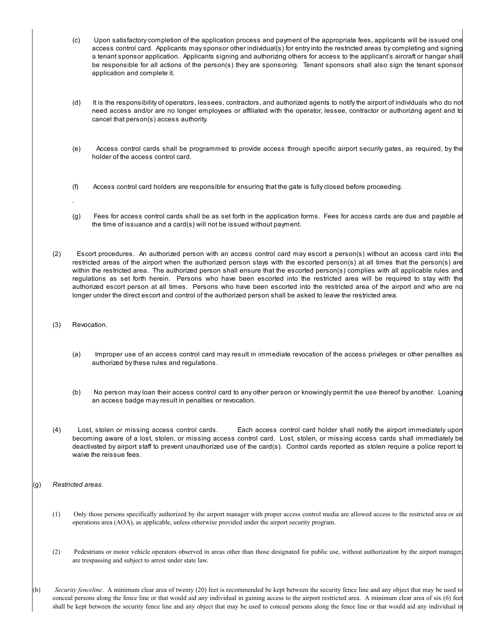- (c) Upon satisfactory completion of the application process and payment of the appropriate fees, applicants will be issued one access control card. Applicants may sponsor other individual(s) for entry into the restricted areas by completing and signing a tenant sponsor application. Applicants signing and authorizing others for access to the applicant's aircraft or hangar shall be responsible for all actions of the person(s) they are sponsoring. Tenant sponsors shall also sign the tenant sponsor application and complete it.
- (d) It is the responsibility of operators, lessees, contractors, and authorized agents to notify the airport of individuals who do not need access and/or are no longer employees or affiliated with the operator, lessee, contractor or authorizing agent and to cancel that person(s) access authority.
- (e) Access control cards shall be programmed to provide access through specific airport security gates, as required, by the holder of the access control card.
- (f) Access control card holders are responsible for ensuring that the gate is fully closed before proceeding.
- (g) Fees for access control cards shall be as set forth in the application forms. Fees for access cards are due and payable at the time of issuance and a card(s) will not be issued without payment.
- (2) Escort procedures. An authorized person with an access control card may escort a person(s) without an access card into the restricted areas of the airport when the authorized person stays with the escorted person(s) at all times that the person(s) are within the restricted area. The authorized person shall ensure that the escorted person(s) complies with all applicable rules and regulations as set forth herein. Persons who have been escorted into the restricted area will be required to stay with the authorized escort person at all times. Persons who have been escorted into the restricted area of the airport and who are no longer under the direct escort and control of the authorized person shall be asked to leave the restricted area.
- (3) Revocation.
	- (a) Improper use of an access control card may result in immediate revocation of the access privileges or other penalties as authorized by these rules and regulations.
	- (b) No person may loan their access control card to any other person or knowingly permit the use thereof by another. Loaning an access badge may result in penalties or revocation.
- (4) Lost, stolen or missing access control cards. Each access control card holder shall notify the airport immediately upon becoming aware of a lost, stolen, or missing access control card. Lost, stolen, or missing access cards shall immediately be deactivated by airport staff to prevent unauthorized use of the card(s). Control cards reported as stolen require a police report to waive the reissue fees.

- (1) Only those persons specifically authorized by the airport manager with proper access control media are allowed access to the restricted area or air operations area (AOA), as applicable, unless otherwise provided under the airport security program.
- (2) Pedestrians or motor vehicle operators observed in areas other than those designated for public use, without authorization by the airport manager, are trespassing and subject to arrest under state law.
- (h) *Security fenceline*. A minimum clear area of twenty (20) feet is recommended be kept between the security fence line and any object that may be used to conceal persons along the fence line or that would aid any individual in gaining access to the airport restricted area. A minimum clear area of six (6) feet shall be kept between the security fence line and any object that may be used to conceal persons along the fence line or that would aid any individual in

<sup>(</sup>g) *Restricted areas*.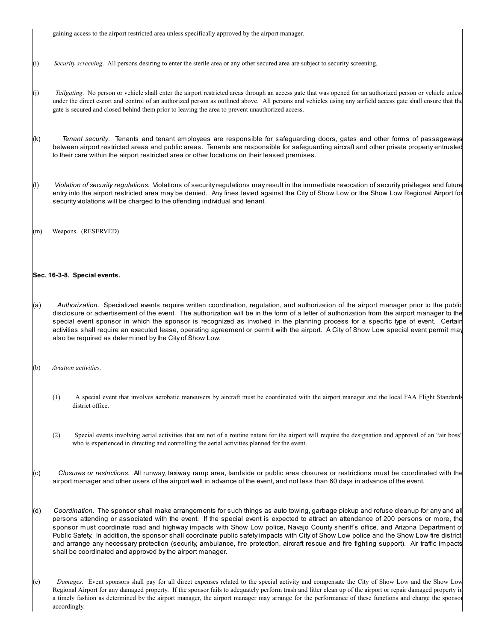gaining access to the airport restricted area unless specifically approved by the airport manager.

- (i) *Security screening*. All persons desiring to enter the sterile area or any other secured area are subject to security screening.
- (j) *Tailgating*. No person or vehicle shall enter the airport restricted areas through an access gate that was opened for an authorized person or vehicle unless under the direct escort and control of an authorized person as outlined above. All persons and vehicles using any airfield access gate shall ensure that the gate is secured and closed behind them prior to leaving the area to prevent unauthorized access.
- (k) *Tenant security*. Tenants and tenant employees are responsible for safeguarding doors, gates and other forms of passageways between airport restricted areas and public areas. Tenants are responsible for safeguarding aircraft and other private property entrusted to their care within the airport restricted area or other locations on their leased premises.
- (l) *Violation of security regulations*. Violations of security regulations may result in the immediate revocation of security privileges and future entry into the airport restricted area may be denied. Any fines levied against the City of Show Low or the Show Low Regional Airport for security violations will be charged to the offending individual and tenant.
- (m) Weapons. (RESERVED)

#### **Sec. 16-3-8. Special events.**

- (a) *Authorization*. Specialized events require written coordination, regulation, and authorization of the airport manager prior to the public disclosure or advertisement of the event. The authorization will be in the form of a letter of authorization from the airport manager to the special event sponsor in which the sponsor is recognized as involved in the planning process for a specific type of event. Certain activities shall require an executed lease, operating agreement or permit with the airport. A City of Show Low special event permit may also be required as determined by the City of Show Low.
- (b) *Aviation activities*.
	- (1) A special event that involves aerobatic maneuvers by aircraft must be coordinated with the airport manager and the local FAA Flight Standards district office.
	- (2) Special events involving aerial activities that are not of a routine nature for the airport will require the designation and approval of an "air boss" who is experienced in directing and controlling the aerial activities planned for the event.
- (c) *Closures or restrictions*. All runway, taxiway, ramp area, landside or public area closures or restrictions must be coordinated with the airport manager and other users of the airport well in advance of the event, and not less than 60 days in advance of the event.
- (d) *Coordination*. The sponsor shall make arrangements for such things as auto towing, garbage pickup and refuse cleanup for any and all persons attending or associated with the event. If the special event is expected to attract an attendance of 200 persons or more, the sponsor must coordinate road and highway impacts with Show Low police, Navajo County sheriff's office, and Arizona Department of Public Safety. In addition, the sponsor shall coordinate public safety impacts with City of Show Low police and the Show Low fire district, and arrange any necessary protection (security, ambulance, fire protection, aircraft rescue and fire fighting support). Air traffic impacts shall be coordinated and approved by the airport manager.
- (e) *Damages*. Event sponsors shall pay for all direct expenses related to the special activity and compensate the City of Show Low and the Show Low Regional Airport for any damaged property. If the sponsor fails to adequately perform trash and litter clean up of the airport or repair damaged property in a timely fashion as determined by the airport manager, the airport manager may arrange for the performance of these functions and charge the sponsor accordingly.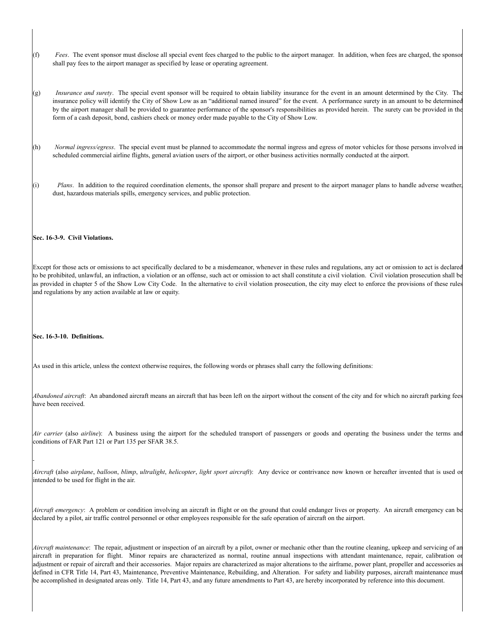- (f) *Fees*. The event sponsor must disclose all special event fees charged to the public to the airport manager. In addition, when fees are charged, the sponsor shall pay fees to the airport manager as specified by lease or operating agreement.
- (g) *Insurance and surety*. The special event sponsor will be required to obtain liability insurance for the event in an amount determined by the City. The insurance policy will identify the City of Show Low as an "additional named insured" for the event. A performance surety in an amount to be determined by the airport manager shall be provided to guarantee performance of the sponsor's responsibilities as provided herein. The surety can be provided in the form of a cash deposit, bond, cashiers check or money order made payable to the City of Show Low.
- (h) *Normal ingress/egress*. The special event must be planned to accommodate the normal ingress and egress of motor vehicles for those persons involved in scheduled commercial airline flights, general aviation users of the airport, or other business activities normally conducted at the airport.
- (i) *Plans*. In addition to the required coordination elements, the sponsor shall prepare and present to the airport manager plans to handle adverse weather dust, hazardous materials spills, emergency services, and public protection.

#### **Sec. 16-3-9. Civil Violations.**

Except for those acts or omissions to act specifically declared to be a misdemeanor, whenever in these rules and regulations, any act or omission to act is declared to be prohibited, unlawful, an infraction, a violation or an offense, such act or omission to act shall constitute a civil violation. Civil violation prosecution shall be as provided in chapter 5 of the Show Low City Code. In the alternative to civil violation prosecution, the city may elect to enforce the provisions of these rules and regulations by any action available at law or equity.

#### **Sec. 16-3-10. Definitions.**

As used in this article, unless the context otherwise requires, the following words or phrases shall carry the following definitions:

*Abandoned aircraft*: An abandoned aircraft means an aircraft that has been left on the airport without the consent of the city and for which no aircraft parking fees have been received.

*Air carrier* (also *airline*): A business using the airport for the scheduled transport of passengers or goods and operating the business under the terms and conditions of FAR Part 121 or Part 135 per SFAR 38.5.

*Aircraft* (also *airplane*, *balloon*, *blimp*, *ultralight*, *helicopter*, *light sport aircraft*): Any device or contrivance now known or hereafter invented that is used or intended to be used for flight in the air.

*Aircraft emergency*: A problem or condition involving an aircraft in flight or on the ground that could endanger lives or property. An aircraft emergency can be declared by a pilot, air traffic control personnel or other employees responsible for the safe operation of aircraft on the airport.

*Aircraft maintenance*: The repair, adjustment or inspection of an aircraft by a pilot, owner or mechanic other than the routine cleaning, upkeep and servicing of an aircraft in preparation for flight. Minor repairs are characterized as normal, routine annual inspections with attendant maintenance, repair, calibration or adjustment or repair of aircraft and their accessories. Major repairs are characterized as major alterations to the airframe, power plant, propeller and accessories as defined in CFR Title 14, Part 43, Maintenance, Preventive Maintenance, Rebuilding, and Alteration. For safety and liability purposes, aircraft maintenance must be accomplished in designated areas only. Title 14, Part 43, and any future amendments to Part 43, are hereby incorporated by reference into this document.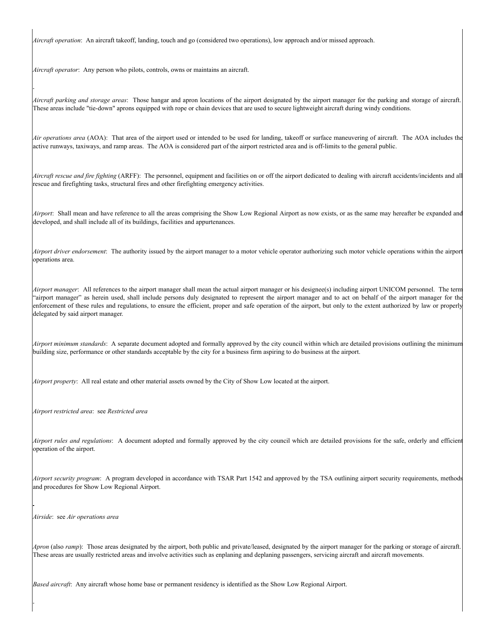*Aircraft operation*: An aircraft takeoff, landing, touch and go (considered two operations), low approach and/or missed approach.

*Aircraft operator*: Any person who pilots, controls, owns or maintains an aircraft.

*Aircraft parking and storage areas*: Those hangar and apron locations of the airport designated by the airport manager for the parking and storage of aircraft. These areas include "tie-down" aprons equipped with rope or chain devices that are used to secure lightweight aircraft during windy conditions.

*Air operations area* (AOA): That area of the airport used or intended to be used for landing, takeoff or surface maneuvering of aircraft. The AOA includes the active runways, taxiways, and ramp areas. The AOA is considered part of the airport restricted area and is off-limits to the general public.

*Aircraft rescue and fire fighting* (ARFF): The personnel, equipment and facilities on or off the airport dedicated to dealing with aircraft accidents/incidents and all rescue and firefighting tasks, structural fires and other firefighting emergency activities.

*Airport*: Shall mean and have reference to all the areas comprising the Show Low Regional Airport as now exists, or as the same may hereafter be expanded and developed, and shall include all of its buildings, facilities and appurtenances.

*Airport driver endorsement*: The authority issued by the airport manager to a motor vehicle operator authorizing such motor vehicle operations within the airport operations area.

*Airport manager*: All references to the airport manager shall mean the actual airport manager or his designee(s) including airport UNICOM personnel. The term "airport manager" as herein used, shall include persons duly designated to represent the airport manager and to act on behalf of the airport manager for the enforcement of these rules and regulations, to ensure the efficient, proper and safe operation of the airport, but only to the extent authorized by law or properly delegated by said airport manager.

*Airport minimum standards*: A separate document adopted and formally approved by the city council within which are detailed provisions outlining the minimum building size, performance or other standards acceptable by the city for a business firm aspiring to do business at the airport.

*Airport property*: All real estate and other material assets owned by the City of Show Low located at the airport.

*Airport restricted area*: see *Restricted area*

*Airport rules and regulations*: A document adopted and formally approved by the city council which are detailed provisions for the safe, orderly and efficient operation of the airport.

*Airport security program*: A program developed in accordance with TSAR Part 1542 and approved by the TSA outlining airport security requirements, methods and procedures for Show Low Regional Airport.

*Airside*: see *Air operations area*

*Apron* (also *ramp*): Those areas designated by the airport, both public and private/leased, designated by the airport manager for the parking or storage of aircraft. These areas are usually restricted areas and involve activities such as enplaning and deplaning passengers, servicing aircraft and aircraft movements.

*Based aircraft*: Any aircraft whose home base or permanent residency is identified as the Show Low Regional Airport.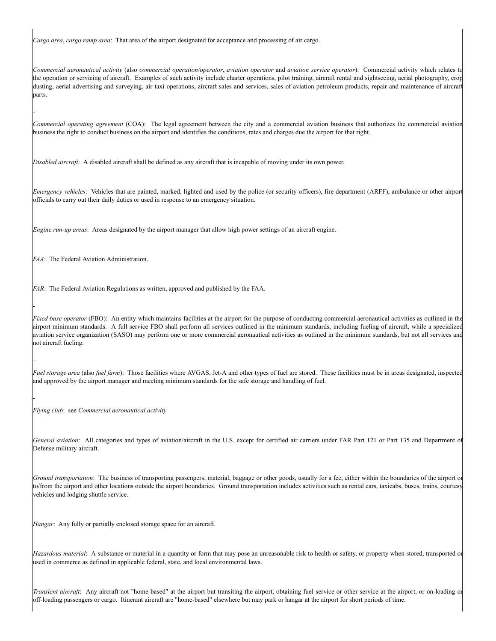*Cargo area*, *cargo ramp area*: That area of the airport designated for acceptance and processing of air cargo.

*Commercial aeronautical activity* (also *commercial operation/operator*, *aviation operator* and *aviation service operator*): Commercial activity which relates to the operation or servicing of aircraft. Examples of such activity include charter operations, pilot training, aircraft rental and sightseeing, aerial photography, crop dusting, aerial advertising and surveying, air taxi operations, aircraft sales and services, sales of aviation petroleum products, repair and maintenance of aircraft parts.

*Commercial operating agreement* (COA): The legal agreement between the city and a commercial aviation business that authorizes the commercial aviation business the right to conduct business on the airport and identifies the conditions, rates and charges due the airport for that right.

*Disabled aircraft*: A disabled aircraft shall be defined as any aircraft that is incapable of moving under its own power.

*Emergency vehicles*: Vehicles that are painted, marked, lighted and used by the police (or security officers), fire department (ARFF), ambulance or other airport officials to carry out their daily duties or used in response to an emergency situation.

*Engine run-up areas*: Areas designated by the airport manager that allow high power settings of an aircraft engine.

*FAA*: The Federal Aviation Administration.

*FAR*: The Federal Aviation Regulations as written, approved and published by the FAA.

*Fixed base operator* (FBO): An entity which maintains facilities at the airport for the purpose of conducting commercial aeronautical activities as outlined in the airport minimum standards. A full service FBO shall perform all services outlined in the minimum standards, including fueling of aircraft, while a specialized aviation service organization (SASO) may perform one or more commercial aeronautical activities as outlined in the minimum standards, but not all services and not aircraft fueling.

*Fuel storage area* (also *fuel farm*): Those facilities where AVGAS, Jet-A and other types of fuel are stored. These facilities must be in areas designated, inspected and approved by the airport manager and meeting minimum standards for the safe storage and handling of fuel.

*Flying club*: see *Commercial aeronautical activity*

*General aviation*: All categories and types of aviation/aircraft in the U.S. except for certified air carriers under FAR Part 121 or Part 135 and Department of Defense military aircraft.

*Ground transportation*: The business of transporting passengers, material, baggage or other goods, usually for a fee, either within the boundaries of the airport or to/from the airport and other locations outside the airport boundaries. Ground transportation includes activities such as rental cars, taxicabs, buses, trains, courtesy vehicles and lodging shuttle service.

*Hangar*: Any fully or partially enclosed storage space for an aircraft.

*Hazardous material*: A substance or material in a quantity or form that may pose an unreasonable risk to health or safety, or property when stored, transported or used in commerce as defined in applicable federal, state, and local environmental laws.

*Transient aircraft*: Any aircraft not "home-based" at the airport but transiting the airport, obtaining fuel service or other service at the airport, or on-loading or off-loading passengers or cargo. Itinerant aircraft are "home-based" elsewhere but may park or hangar at the airport for short periods of time.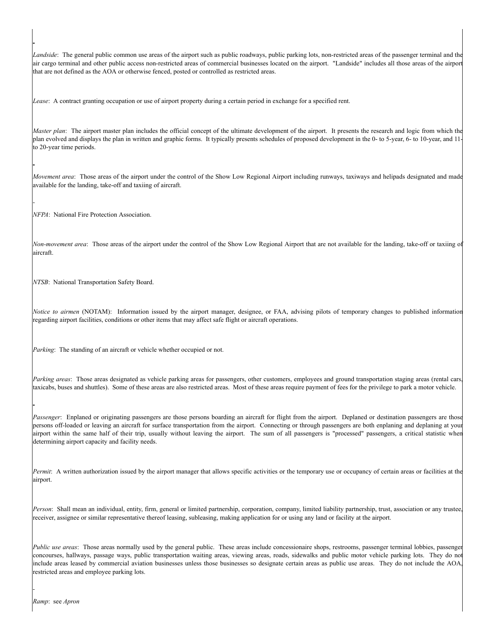*Landside*: The general public common use areas of the airport such as public roadways, public parking lots, non-restricted areas of the passenger terminal and the air cargo terminal and other public access non-restricted areas of commercial businesses located on the airport. "Landside" includes all those areas of the airport that are not defined as the AOA or otherwise fenced, posted or controlled as restricted areas.

*Lease*: A contract granting occupation or use of airport property during a certain period in exchange for a specified rent.

*Master plan*: The airport master plan includes the official concept of the ultimate development of the airport. It presents the research and logic from which the plan evolved and displays the plan in written and graphic forms. It typically presents schedules of proposed development in the 0- to 5-year, 6- to 10-year, and 11 to 20-year time periods.

*Movement area*: Those areas of the airport under the control of the Show Low Regional Airport including runways, taxiways and helipads designated and made available for the landing, take-off and taxiing of aircraft.

*NFPA*: National Fire Protection Association.

*Non-movement area*: Those areas of the airport under the control of the Show Low Regional Airport that are not available for the landing, take-off or taxiing of aircraft.

*NTSB*: National Transportation Safety Board.

*Notice to airmen* (NOTAM): Information issued by the airport manager, designee, or FAA, advising pilots of temporary changes to published information regarding airport facilities, conditions or other items that may affect safe flight or aircraft operations.

*Parking*: The standing of an aircraft or vehicle whether occupied or not.

*Parking areas*: Those areas designated as vehicle parking areas for passengers, other customers, employees and ground transportation staging areas (rental cars, taxicabs, buses and shuttles). Some of these areas are also restricted areas. Most of these areas require payment of fees for the privilege to park a motor vehicle.

*Passenger*: Enplaned or originating passengers are those persons boarding an aircraft for flight from the airport. Deplaned or destination passengers are those persons off-loaded or leaving an aircraft for surface transportation from the airport. Connecting or through passengers are both enplaning and deplaning at your airport within the same half of their trip, usually without leaving the airport. The sum of all passengers is "processed" passengers, a critical statistic when determining airport capacity and facility needs.

*Permit*: A written authorization issued by the airport manager that allows specific activities or the temporary use or occupancy of certain areas or facilities at the airport.

*Person*: Shall mean an individual, entity, firm, general or limited partnership, corporation, company, limited liability partnership, trust, association or any trustee, receiver, assignee or similar representative thereof leasing, subleasing, making application for or using any land or facility at the airport.

*Public use areas*: Those areas normally used by the general public. These areas include concessionaire shops, restrooms, passenger terminal lobbies, passenger concourses, hallways, passage ways, public transportation waiting areas, viewing areas, roads, sidewalks and public motor vehicle parking lots. They do not include areas leased by commercial aviation businesses unless those businesses so designate certain areas as public use areas. They do not include the AOA, restricted areas and employee parking lots.

*Ramp*: see *Apron*